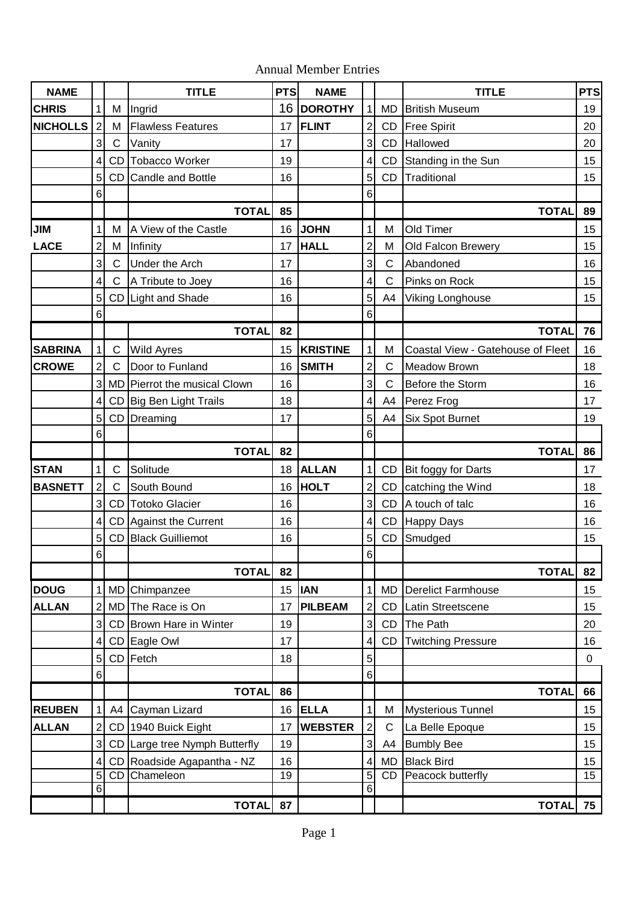|  | <b>Annual Member Entries</b> |  |
|--|------------------------------|--|
|--|------------------------------|--|

| <b>NAME</b>     |                              |                              | <b>TITLE</b>                         | <b>PTS</b> | <b>NAME</b>                     |                                |                 | <b>PTS</b><br><b>TITLE</b>              |                 |
|-----------------|------------------------------|------------------------------|--------------------------------------|------------|---------------------------------|--------------------------------|-----------------|-----------------------------------------|-----------------|
| <b>CHRIS</b>    | 1 <sup>1</sup>               | Μ                            | Ingrid                               |            | 16 DOROTHY                      | $\mathbf{1}$                   | <b>MD</b>       | <b>British Museum</b>                   |                 |
| <b>NICHOLLS</b> | $\overline{2}$               | M                            | <b>Flawless Features</b>             | 17         | <b>FLINT</b>                    | $\overline{2}$                 | <b>CD</b>       | Free Spirit                             |                 |
|                 | $\mathbf{3}$                 | $\mathsf{C}$                 | Vanity                               | 17         |                                 | 3                              | <b>CD</b>       | Hallowed                                | 20              |
|                 | $\overline{4}$               | <b>CD</b>                    | <b>Tobacco Worker</b>                | 19         |                                 | $\overline{\mathbf{4}}$        | CD              | Standing in the Sun                     | 15              |
|                 | 5                            | <b>CD</b>                    | <b>Candle and Bottle</b>             | 16         |                                 | 5                              | <b>CD</b>       | Traditional                             |                 |
|                 | 6 <sup>1</sup>               |                              |                                      |            |                                 | 6                              |                 |                                         |                 |
|                 |                              |                              | <b>TOTAL</b>                         | 85         |                                 |                                |                 | <b>TOTAL</b>                            | 89              |
| <b>JIM</b>      | 1                            | Μ                            | A View of the Castle                 | 16         | <b>JOHN</b>                     | $\mathbf 1$                    | М               | Old Timer                               | 15              |
| <b>LACE</b>     | $\overline{c}$               | M                            | Infinity                             | 17         | <b>HALL</b>                     | $\overline{c}$                 | M               | Old Falcon Brewery                      | 15              |
|                 | $\mathbf{3}$                 | C                            | <b>Under the Arch</b>                | 17         |                                 | 3                              | C               | Abandoned                               | 16              |
|                 | $\vert 4 \vert$              | $\mathsf C$                  | A Tribute to Joey                    | 16         |                                 | 4                              | $\mathsf{C}$    | Pinks on Rock                           | 15              |
|                 | 5 <sup>1</sup>               |                              | CD Light and Shade                   | 16         |                                 | 5                              | A4              | Viking Longhouse                        | 15              |
|                 | 6 <sup>1</sup>               |                              |                                      | 82         |                                 | 6                              |                 |                                         |                 |
|                 |                              |                              | <b>TOTAL</b>                         |            |                                 |                                |                 | <b>TOTAL</b>                            | 76              |
| <b>SABRINA</b>  | 1<br>$\overline{2}$          | $\mathsf{C}$<br>$\mathsf{C}$ | <b>Wild Ayres</b><br>Door to Funland | 15         | <b>KRISTINE</b><br><b>SMITH</b> | $\mathbf{1}$<br>$\overline{2}$ | M<br>C          | Coastal View - Gatehouse of Fleet       | 16<br>18        |
| <b>CROWE</b>    | $\mathbf{3}$                 | <b>MD</b>                    | Pierrot the musical Clown            | 16<br>16   |                                 | 3                              | $\mathsf{C}$    | <b>Meadow Brown</b><br>Before the Storm | 16              |
|                 | $\vert 4 \vert$              |                              | CD Big Ben Light Trails              | 18         |                                 | $\overline{\mathbf{4}}$        | A4              | Perez Frog                              | 17              |
|                 | 5                            | <b>CD</b>                    | Dreaming                             | 17         |                                 | 5                              | A4              | <b>Six Spot Burnet</b>                  | 19              |
|                 | $\,6$                        |                              |                                      |            |                                 | 6                              |                 |                                         |                 |
|                 |                              |                              | <b>TOTAL</b>                         | 82         |                                 |                                |                 | <b>TOTAL</b>                            | 86              |
| <b>STAN</b>     | 1                            | $\mathsf{C}$                 | Solitude                             | 18         | <b>ALLAN</b>                    | $\mathbf{1}$                   | <b>CD</b>       | Bit foggy for Darts                     | 17              |
| <b>BASNETT</b>  | $\overline{2}$               | $\mathsf{C}$                 | South Bound                          | 16         | <b>HOLT</b>                     | $\overline{2}$                 | <b>CD</b>       | catching the Wind                       | 18              |
|                 | 3                            | CD                           | <b>Totoko Glacier</b>                | 16         |                                 | 3                              | <b>CD</b>       | A touch of talc                         | 16              |
|                 | $\overline{\mathbf{4}}$      | <b>CD</b>                    | Against the Current                  | 16         |                                 | $\overline{\mathbf{4}}$        | CD              | Happy Days                              | 16              |
|                 | 5                            | CD                           | <b>Black Guilliemot</b>              | 16         |                                 | 5                              | <b>CD</b>       | Smudged                                 | 15              |
|                 | 6 <sup>1</sup>               |                              |                                      |            |                                 | $\,6$                          |                 |                                         |                 |
|                 |                              |                              | <b>TOTAL</b>                         | 82         |                                 |                                |                 | <b>TOTAL</b>                            | 82              |
| <b>DOUG</b>     | 1                            | <b>MD</b>                    | Chimpanzee                           | 15         | <b>IAN</b>                      | $\mathbf{1}$                   | <b>MD</b>       | <b>Derelict Farmhouse</b>               | 15 <sub>1</sub> |
| <b>ALLAN</b>    | $\overline{2}$               | MD                           | The Race is On                       | 17         | <b>PILBEAM</b>                  | $\overline{2}$                 | CD              | Latin Streetscene                       | 15              |
|                 | $\mathbf{3}$                 | <b>CD</b>                    | Brown Hare in Winter                 | 19         |                                 | 3                              | CD              | The Path                                | 20              |
|                 | $\vert 4 \vert$              | <b>CD</b>                    | Eagle Owl                            | 17         |                                 | 4                              | <b>CD</b>       | <b>Twitching Pressure</b>               | 16              |
|                 | 5 <sup>1</sup>               | CD                           | Fetch                                | 18         |                                 | 5                              |                 |                                         | $\pmb{0}$       |
|                 | $\,6$                        |                              |                                      |            |                                 | 6                              |                 |                                         |                 |
|                 |                              |                              | <b>TOTAL</b>                         | 86         |                                 |                                |                 | <b>TOTAL</b>                            | 66              |
| <b>REUBEN</b>   | $\mathbf 1$                  | A4                           | Cayman Lizard                        | 16         | <b>ELLA</b>                     | $\mathbf{1}$                   | M               | <b>Mysterious Tunnel</b>                | 15              |
| <b>ALLAN</b>    | $\overline{2}$               | CD                           | 1940 Buick Eight                     | 17         | <b>WEBSTER</b>                  | $\overline{\mathbf{c}}$        | $\mathsf{C}$    | La Belle Epoque                         | 15              |
|                 | $\overline{3}$               | CD                           | Large tree Nymph Butterfly           | 19         |                                 | 3                              | A4              | <b>Bumbly Bee</b>                       | 15              |
|                 | $\overline{\mathbf{4}}$<br>5 | CD<br>CD                     | Roadside Agapantha - NZ<br>Chameleon | 16<br>19   |                                 | $\overline{\mathbf{4}}$<br>5   | <b>MD</b><br>CD | <b>Black Bird</b><br>Peacock butterfly  | 15<br>15        |
|                 | $\overline{6}$               |                              |                                      |            |                                 | $\overline{6}$                 |                 |                                         |                 |
|                 |                              |                              | <b>TOTAL</b>                         | 87         |                                 |                                |                 | <b>TOTAL</b>                            | 75              |